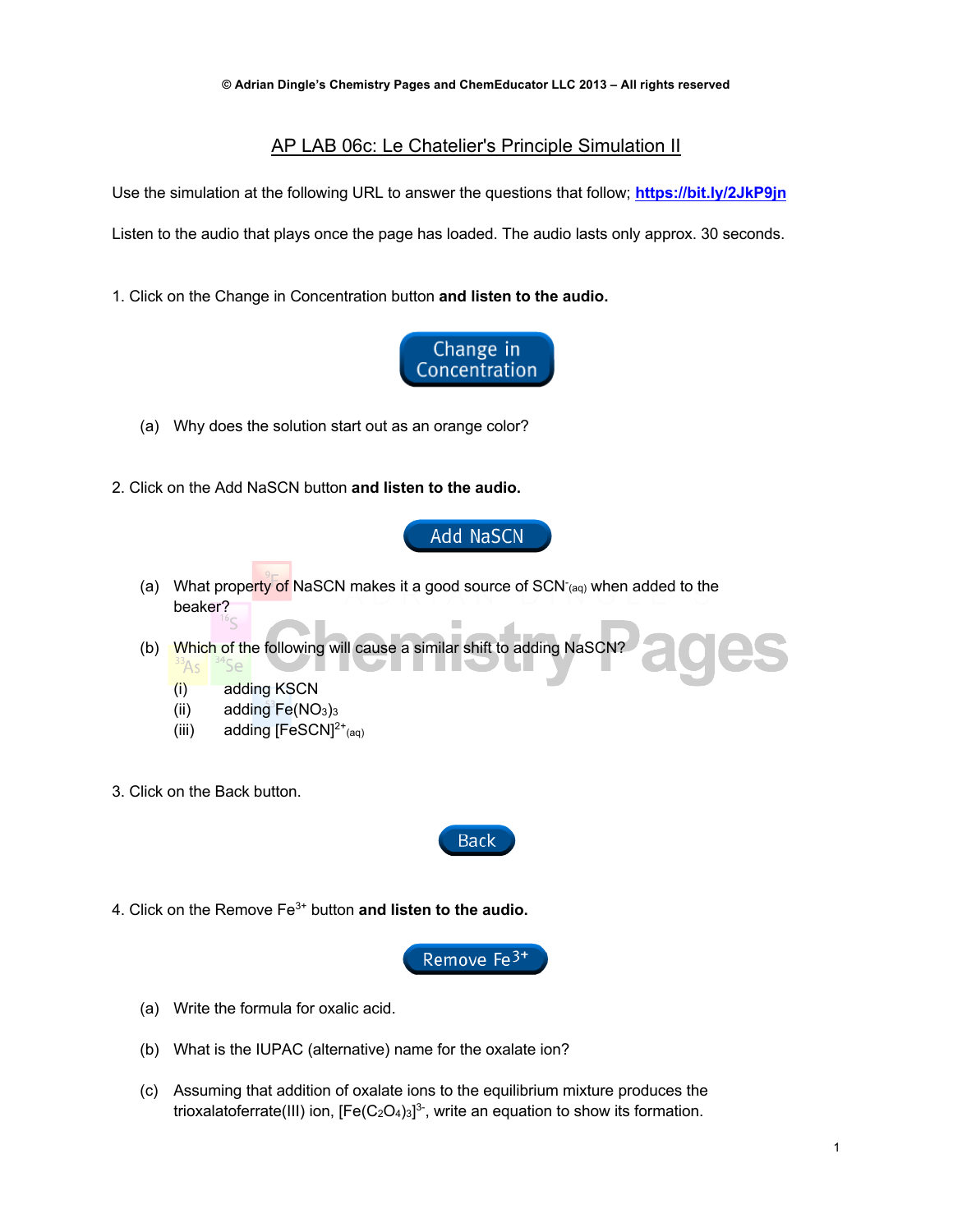## AP LAB 06c: Le Chatelier's Principle Simulation II

Use the simulation at the following URL to answer the questions that follow; **https://bit.ly/2JkP9jn** Listen to the audio that plays once the page has loaded. The audio lasts only approx. 30 seconds.

1. Click on the Change in Concentration button **and listen to the audio.**



- (a) Why does the solution start out as an orange color?
- 2. Click on the Add NaSCN button **and listen to the audio.**

Add NaSCN

- (a) What property of NaSCN makes it a good source of SCN<sup>-</sup><sub>(aq)</sub> when added to the beaker?
- (b) Which of the following will cause a similar shift to adding NaSCN? <sup>3</sup>As
	- (i) adding KSCN
	- (ii) adding  $Fe(NO<sub>3</sub>)<sub>3</sub>$
	- (iii) adding  $[FeSCN]^{2+}$ <sub>(aq)</sub>
- 3. Click on the Back button.



4. Click on the Remove Fe3+ button **and listen to the audio.**



- (a) Write the formula for oxalic acid.
- (b) What is the IUPAC (alternative) name for the oxalate ion?
- (c) Assuming that addition of oxalate ions to the equilibrium mixture produces the trioxalatoferrate(III) ion,  $[Fe(C<sub>2</sub>O<sub>4</sub>)<sub>3</sub>]<sup>3</sup>$ , write an equation to show its formation.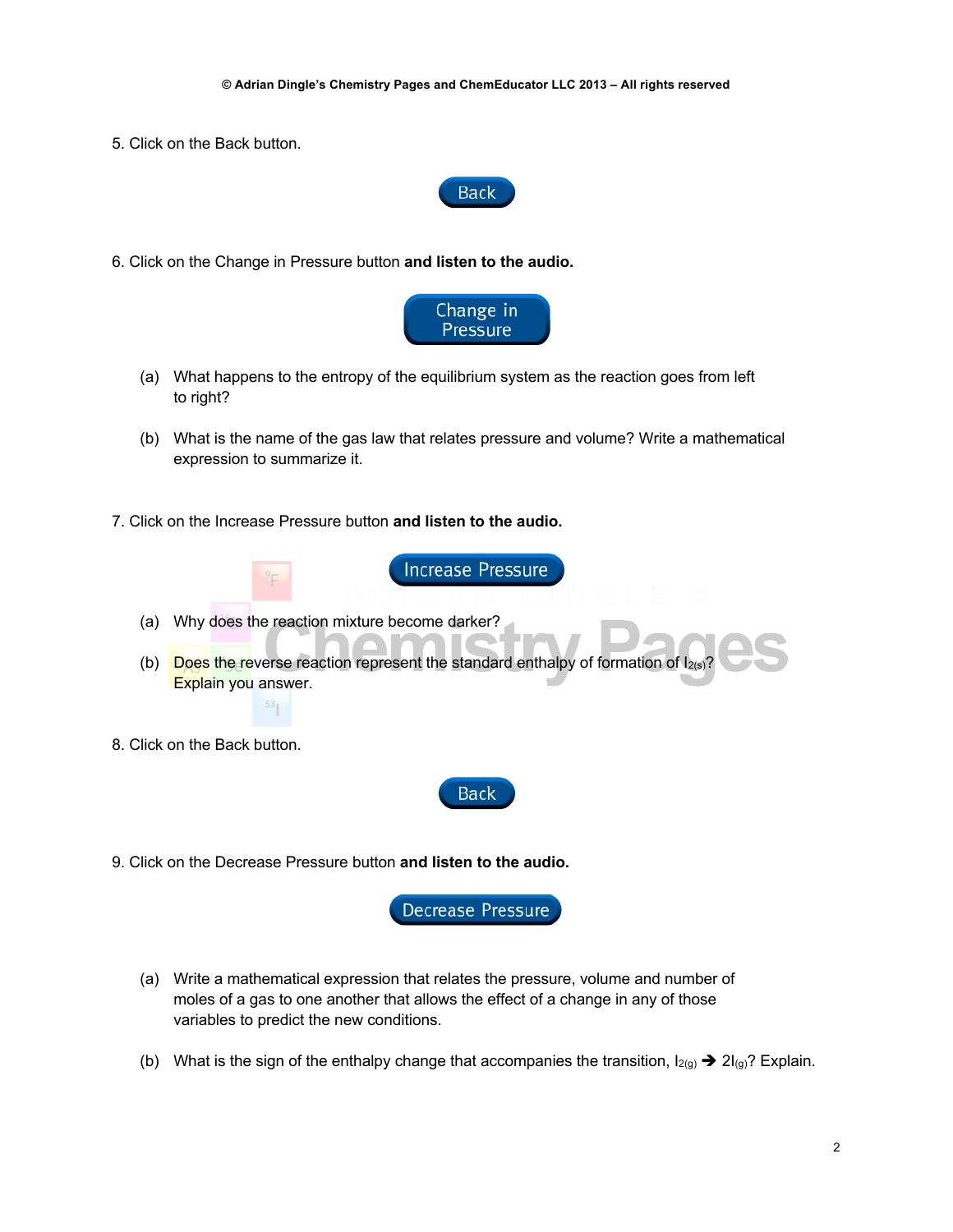5. Click on the Back button.



6. Click on the Change in Pressure button **and listen to the audio.**



- (a) What happens to the entropy of the equilibrium system as the reaction goes from left to right?
- (b) What is the name of the gas law that relates pressure and volume? Write a mathematical expression to summarize it.

**Increase Pressure** 

7. Click on the Increase Pressure button **and listen to the audio.**



- (a) Why does the reaction mixture become darker?
- (b) Does the reverse reaction represent the standard enthalpy of formation of  $I_{2(}$ Explain you answer.
- 8. Click on the Back button.



9. Click on the Decrease Pressure button **and listen to the audio.**



- (a) Write a mathematical expression that relates the pressure, volume and number of moles of a gas to one another that allows the effect of a change in any of those variables to predict the new conditions.
- (b) What is the sign of the enthalpy change that accompanies the transition,  $I_{2(g)} \rightarrow 2I_{(g)}$ ? Explain.